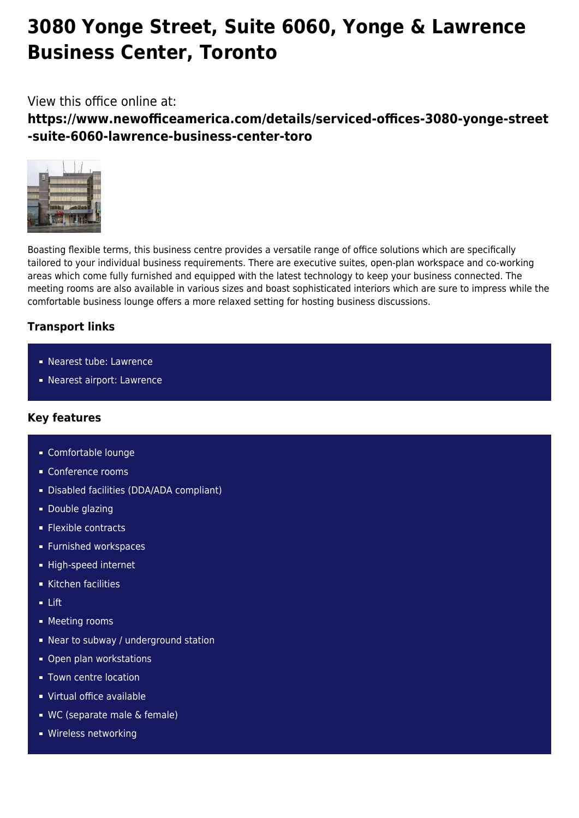# **3080 Yonge Street, Suite 6060, Yonge & Lawrence Business Center, Toronto**

# View this office online at:

**https://www.newofficeamerica.com/details/serviced-offices-3080-yonge-street -suite-6060-lawrence-business-center-toro**



Boasting flexible terms, this business centre provides a versatile range of office solutions which are specifically tailored to your individual business requirements. There are executive suites, open-plan workspace and co-working areas which come fully furnished and equipped with the latest technology to keep your business connected. The meeting rooms are also available in various sizes and boast sophisticated interiors which are sure to impress while the comfortable business lounge offers a more relaxed setting for hosting business discussions.

## **Transport links**

- Nearest tube: Lawrence
- Nearest airport: Lawrence

## **Key features**

- Comfortable lounge
- Conference rooms
- Disabled facilities (DDA/ADA compliant)
- **Double glazing**
- **Flexible contracts**
- **Furnished workspaces**
- High-speed internet
- Kitchen facilities
- $-$  Lift
- **Meeting rooms**
- Near to subway / underground station
- **Open plan workstations**
- **Town centre location**
- Virtual office available
- WC (separate male & female)
- **Wireless networking**